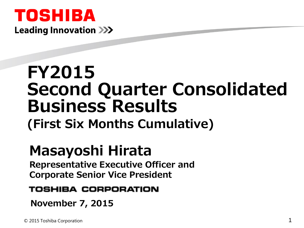

# **FY2015 Second Quarter Consolidated Business Results**

**(First Six Months Cumulative)**

# **Masayoshi Hirata**

**Representative Executive Officer and Corporate Senior Vice President**

#### TOSHIBA CORPORATION

**November 7, 2015**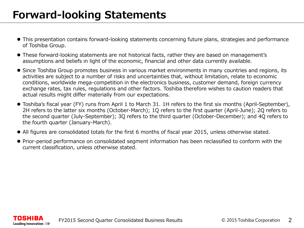- This presentation contains forward-looking statements concerning future plans, strategies and performance of Toshiba Group.
- These forward-looking statements are not historical facts, rather they are based on management's assumptions and beliefs in light of the economic, financial and other data currently available.
- Since Toshiba Group promotes business in various market environments in many countries and regions, its activities are subject to a number of risks and uncertainties that, without limitation, relate to economic conditions, worldwide mega-competition in the electronics business, customer demand, foreign currency exchange rates, tax rules, regulations and other factors. Toshiba therefore wishes to caution readers that actual results might differ materially from our expectations.
- Toshiba's fiscal year (FY) runs from April 1 to March 31. 1H refers to the first six months (April-September), 2H refers to the latter six months (October-March); 1Q refers to the first quarter (April-June); 2Q refers to the second quarter (July-September); 3Q refers to the third quarter (October-December); and 4Q refers to the fourth quarter (January-March).
- All figures are consolidated totals for the first 6 months of fiscal year 2015, unless otherwise stated.
- Prior-period performance on consolidated segment information has been reclassified to conform with the current classification, unless otherwise stated.

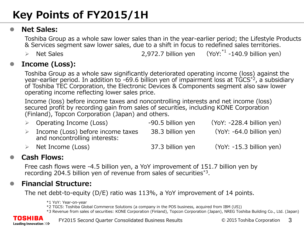# **Key Points of FY2015/1H**

#### **Net Sales:**

Toshiba Group as a whole saw lower sales than in the year-earlier period; the Lifestyle Products & Services segment saw lower sales, due to a shift in focus to redefined sales territories.

 $\triangleright$  Net Sales 2,972.7 billion yen  $(YoY; ^{*1} -140.9$  billion yen)

#### **Income (Loss):**

Toshiba Group as a whole saw significantly deteriorated operating income (loss) against the year-earlier period. In addition to -69.6 billion yen of impairment loss at  $TGCS^{2}$ , a subsidiary of Toshiba TEC Corporation, the Electronic Devices & Components segment also saw lower operating income reflecting lower sales price.

Income (loss) before income taxes and noncontrolling interests and net income (loss) secured profit by recording gain from sales of securities, including KONE Corporation (Finland), Topcon Corporation (Japan) and others.

|                  | $\triangleright$ Operating Income (Loss)                           | -90.5 billion yen | $(YoY: -228.4 billion yen)$ |
|------------------|--------------------------------------------------------------------|-------------------|-----------------------------|
| $\triangleright$ | Income (Loss) before income taxes<br>and noncontrolling interests: | 38.3 billion yen  | $(YoY: -64.0 billion yen)$  |
|                  | Net Income (Loss)                                                  | 37.3 billion yen  | $(YoY: -15.3 billion$ yen)  |

#### **Cash Flows:**

Free cash flows were -4.5 billion yen, a YoY improvement of 151.7 billion yen by recording 204.5 billion yen of revenue from sales of securities\*3.

#### **Financial Structure:**

The net debt-to-equity (D/E) ratio was 113%, a YoY improvement of 14 points.

\*1 YoY: Year-on-year

\*2 TGCS: Toshiba Global Commerce Solutions (a company in the POS business, acquired from IBM (US))

\*3 Revenue from sales of securities: KONE Corporation (Finland), Topcon Corporation (Japan), NREG Toshiba Building Co., Ltd. (Japan)



FY2015 Second Quarter Consolidated Business Results © 2015 Toshiba Corporation 3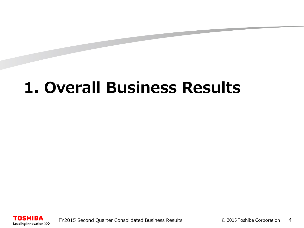# **1. Overall Business Results**

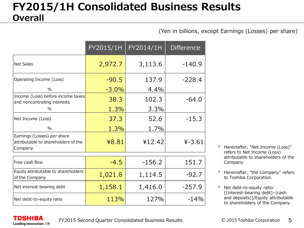#### **FY2015/1H Consolidated Business Results Overall**

(Yen in billions, except Earnings (Losses) per share)

|                                                                               | FY2015/1H | FY2014/1H | <b>Difference</b> |
|-------------------------------------------------------------------------------|-----------|-----------|-------------------|
| <b>Net Sales</b>                                                              | 2,972.7   | 3,113.6   | $-140.9$          |
| Operating Income (Loss)                                                       | $-90.5$   | 137.9     | $-228.4$          |
| $\frac{0}{0}$                                                                 | $-3.0%$   | 4.4%      |                   |
| Income (Loss) before income taxes<br>and noncontrolling interests             | 38.3      | 102.3     | $-64.0$           |
| $\%$                                                                          | 1.3%      | 3.3%      |                   |
| Net Income (Loss)                                                             | 37.3      | 52.6      | $-15.3$           |
| $\%$                                                                          | 1.3%      | 1.7%      |                   |
| Earnings (Losses) per share<br>attributable to shareholders of the<br>Company | ¥8.81     | ¥12.42    | $4 - 3.61$        |
| Free cash flow                                                                | $-4.5$    | $-156.2$  | 151.7             |
| Equity attributable to shareholders<br>of the Company                         | 1,021.8   | 1,114.5   | $-92.7$           |
| Net interest-bearing debt                                                     | 1,158.1   | 1,416.0   | $-257.9$          |
| Net debt-to-equity ratio                                                      | 113%      | 127%      | $-14%$            |

FY2015 Second Quarter Consolidated Business Results

**TOSHIBA** Leading Innovation >>>

- \* Hereinafter, "Net Income (Loss)" refers to Net Income (Loss) attributable to shareholders of the Company.
- \* Hereinafter, "the Company" refers to Toshiba Corporation.
- Net debt-to-equity ratio: [(interest-bearing debt)–(cash and deposits)]/Equity attributable to shareholders of the Company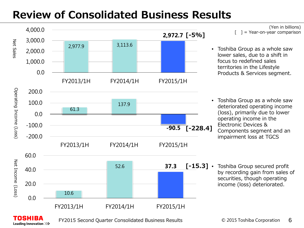# **Review of Consolidated Business Results**



FY2015 Second Quarter Consolidated Business Results

TOSHIBA Leading Innovation >>>

(Yen in billions)  $=$  Year-on-year comparison

- Toshiba Group as a whole saw lower sales, due to a shift in focus to redefined sales territories in the Lifestyle Products & Services segment.
- Toshiba Group as a whole saw deteriorated operating income (loss), primarily due to lower operating income in the Electronic Devices & Components segment and an impairment loss at TGCS
- Toshiba Group secured profit by recording gain from sales of securities, though operating income (loss) deteriorated.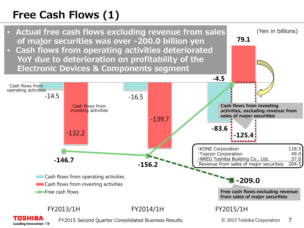# **Free Cash Flows (1)**



• **Cash flows from operating activities deteriorated YoY due to deterioration on profitability of the Electronic Devices & Components segment**



**79.1** 

(Yen in billions)

FY2013/1H FY2014/1H FY2015/1H OSHIBA FY2015 Second Quarter Consolidated Business Results© 2015 Toshiba Corporation 7 Leading Innovation >>>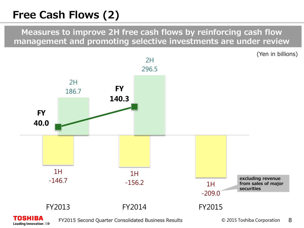# **Free Cash Flows (2)**

**Measures to improve 2H free cash flows by reinforcing cash flow management and promoting selective investments are under review** 

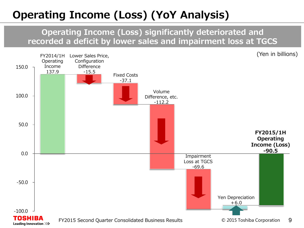# **Operating Income (Loss) (YoY Analysis)**

**Operating Income (Loss) significantly deteriorated and recorded a deficit by lower sales and impairment loss at TGCS**

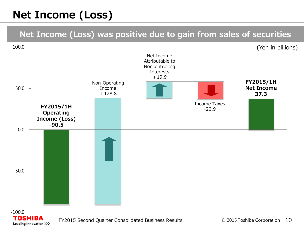# **Net Income (Loss)**

#### **Net Income (Loss) was positive due to gain from sales of securities**

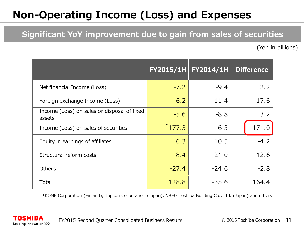# **Non-Operating Income (Loss) and Expenses**

#### **Significant YoY improvement due to gain from sales of securities**

(Yen in billions)

|                                                       |          | FY2015/1H FY2014/1H | <b>Difference</b> |
|-------------------------------------------------------|----------|---------------------|-------------------|
| Net financial Income (Loss)                           | $-7.2$   | $-9.4$              | 2.2               |
| Foreign exchange Income (Loss)                        | $-6.2$   | 11.4                | $-17.6$           |
| Income (Loss) on sales or disposal of fixed<br>assets | $-5.6$   | $-8.8$              | 3.2               |
| Income (Loss) on sales of securities                  | $*177.3$ | 6.3                 | 171.0             |
| Equity in earnings of affiliates                      | 6.3      | 10.5                | $-4.2$            |
| Structural reform costs                               | $-8.4$   | $-21.0$             | 12.6              |
| <b>Others</b>                                         | $-27.4$  | $-24.6$             | $-2.8$            |
| Total                                                 | 128.8    | $-35.6$             | 164.4             |

\*KONE Corporation (Finland), Topcon Corporation (Japan), NREG Toshiba Building Co., Ltd. (Japan) and others

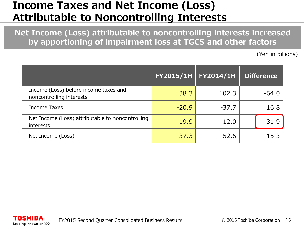#### **Income Taxes and Net Income (Loss) Attributable to Noncontrolling Interests**

**Net Income (Loss) attributable to noncontrolling interests increased by apportioning of impairment loss at TGCS and other factors**

(Yen in billions)

|                                                                      | <b>FY2015/1H</b> | FY2014/1H | <b>Difference</b> |
|----------------------------------------------------------------------|------------------|-----------|-------------------|
| Income (Loss) before income taxes and<br>noncontrolling interests    | 38.3             | 102.3     | $-64.0$           |
| <b>Income Taxes</b>                                                  | $-20.9$          | $-37.7$   | 16.8              |
| Net Income (Loss) attributable to noncontrolling<br><i>interests</i> | 19.9             | $-12.0$   | 31.9              |
| Net Income (Loss)                                                    | 37.3             | 52.6      | $-15.3$           |

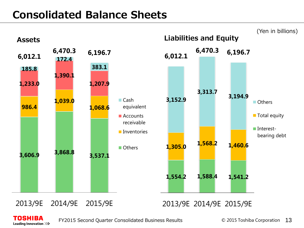### **Consolidated Balance Sheets**



TOSHIBA Leading Innovation >>>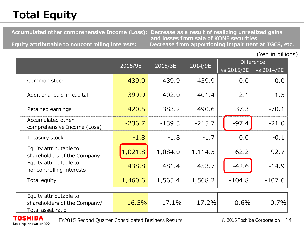# **Total Equity**

 **Accumulated other comprehensive Income (Loss): Decrease as a result of realizing unrealized gains** 

 **Equity attributable to noncontrolling interests:** 

**and losses from sale of KONE securities**

(Yen in billions)

|                                                                             | 2015/9E  | 2015/3E  | 2014/9E  |            | <b>Difference</b> |  |
|-----------------------------------------------------------------------------|----------|----------|----------|------------|-------------------|--|
|                                                                             |          |          |          | vs 2015/3E | vs 2014/9E        |  |
| Common stock                                                                | 439.9    | 439.9    | 439.9    | 0.0        | 0.0               |  |
| Additional paid-in capital                                                  | 399.9    | 402.0    | 401.4    | $-2.1$     | $-1.5$            |  |
| Retained earnings                                                           | 420.5    | 383.2    | 490.6    | 37.3       | $-70.1$           |  |
| Accumulated other<br>comprehensive Income (Loss)                            | $-236.7$ | $-139.3$ | $-215.7$ | $-97.4$    | $-21.0$           |  |
| Treasury stock                                                              | $-1.8$   | $-1.8$   | $-1.7$   | 0,0        | $-0.1$            |  |
| Equity attributable to<br>shareholders of the Company                       | 1,021.8  | 1,084.0  | 1,114.5  | $-62.2$    | $-92.7$           |  |
| Equity attributable to<br>noncontrolling interests                          | 438.8    | 481.4    | 453.7    | $-42.6$    | $-14.9$           |  |
| Total equity                                                                | 1,460.6  | 1,565.4  | 1,568.2  | $-104.8$   | $-107.6$          |  |
| Equity attributable to<br>shareholders of the Company/<br>Total asset ratio | 16.5%    | 17.1%    | 17.2%    | $-0.6%$    | $-0.7%$           |  |

**TOSHIBA** Leading Innovation >>>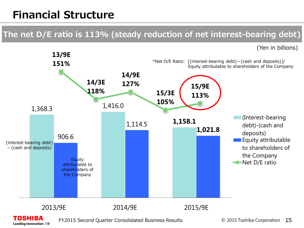## **Financial Structure**

#### **The net D/E ratio is 113% (steady reduction of net interest-bearing debt)**

(Yen in billions)



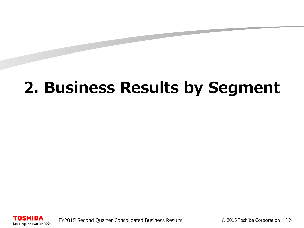# **2. Business Results by Segment**

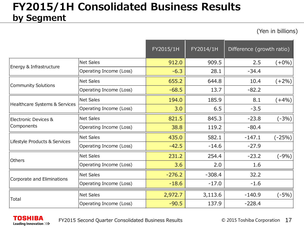#### **FY2015/1H Consolidated Business Results by Segment**

(Yen in billions)

|                               |                         | FY2015/1H | $\overline{\text{FY2014}/\text{1H}}$ | Difference (growth ratio) |          |
|-------------------------------|-------------------------|-----------|--------------------------------------|---------------------------|----------|
|                               | <b>Net Sales</b>        | 912.0     | 909.5                                | 2.5                       | $(+0\%)$ |
| Energy & Infrastructure       | Operating Income (Loss) | $-6.3$    | 28.1                                 | $-34.4$                   |          |
| <b>Community Solutions</b>    | <b>Net Sales</b>        | 655.2     | 644.8                                | 10.4                      | $(+2%)$  |
|                               | Operating Income (Loss) | $-68.5$   | 13.7                                 | $-82.2$                   |          |
|                               | <b>Net Sales</b>        | 194.0     | 185.9                                | 8.1                       | $(+4%)$  |
| Healthcare Systems & Services | Operating Income (Loss) | 3.0       | 6.5                                  | $-3.5$                    |          |
| Electronic Devices &          | <b>Net Sales</b>        | 821.5     | 845.3                                | $-23.8$                   | $(-3%)$  |
| Components                    | Operating Income (Loss) | 38.8      | 119.2                                | $-80.4$                   |          |
| Lifestyle Products & Services | <b>Net Sales</b>        | 435.0     | 582.1                                | $-147.1$                  | $(-25%)$ |
|                               | Operating Income (Loss) | $-42.5$   | $-14.6$                              | $-27.9$                   |          |
| Others                        | <b>Net Sales</b>        | 231.2     | 254.4                                | $-23.2$                   | $(-9%)$  |
|                               | Operating Income (Loss) | 3.6       | 2.0                                  | 1.6                       |          |
| Corporate and Eliminations    | <b>Net Sales</b>        | $-276.2$  | $-308.4$                             | 32.2                      |          |
|                               | Operating Income (Loss) | $-18.6$   | $-17.0$                              | $-1.6$                    |          |
|                               | <b>Net Sales</b>        | 2,972.7   | 3,113.6                              | $-140.9$                  | (-5%)    |
| Total                         | Operating Income (Loss) | $-90.5$   | 137.9                                | $-228.4$                  |          |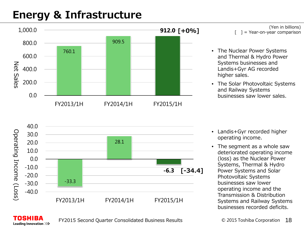### **Energy & Infrastructure**



(Yen in billions) = Year-on-year comparison

- The Nuclear Power Systems and Thermal & Hydro Power Systems businesses and Landis+Gyr AG recorded higher sales.
- The Solar Photovoltaic Systems and Railway Systems businesses saw lower sales.



- Landis+Gyr recorded higher operating income.
- The segment as a whole saw deteriorated operating income (loss) as the Nuclear Power Systems, Thermal & Hydro Power Systems and Solar Photovoltaic Systems businesses saw lower operating income and the Transmission & Distribution Systems and Railway Systems businesses recorded deficits.

FY2015 Second Quarter Consolidated Business Results

TOSHIBA Leading Innovation >>>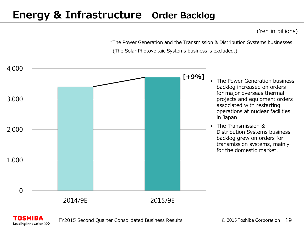#### **Energy & Infrastructure Order Backlog**

(Yen in billions)

\*The Power Generation and the Transmission & Distribution Systems businesses (The Solar Photovoltaic Systems business is excluded.)



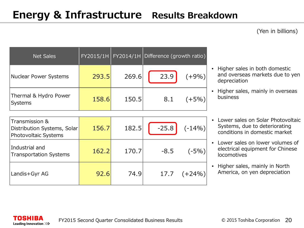#### (Yen in billions)

| <b>Net Sales</b>                 |       |       | FY2015/1H   FY2014/1H   Difference (growth ratio) |
|----------------------------------|-------|-------|---------------------------------------------------|
| Nuclear Power Systems            | 293.5 | 269.6 | 23.9<br>$(+9%)$                                   |
| Thermal & Hydro Power<br>Systems | 158.6 | 150.5 | 8.1<br>$(+5%)$                                    |

| Transmission &<br>Distribution Systems, Solar<br>Photovoltaic Systems | 156.7 | 182.5 | $-25.8$ | $(-14%)$ |
|-----------------------------------------------------------------------|-------|-------|---------|----------|
| Industrial and<br>Transportation Systems                              | 162.2 | 170.7 | $-8.5$  | $(-5%)$  |
| Landis+Gyr AG                                                         | 92.6  | 74.9  | 17.7    | $(+24%)$ |

- Higher sales in both domestic and overseas markets due to yen depreciation
- Higher sales, mainly in overseas business
- Lower sales on Solar Photovoltaic Systems, due to deteriorating conditions in domestic market
- Lower sales on lower volumes of electrical equipment for Chinese **locomotives**
- Higher sales, mainly in North America, on yen depreciation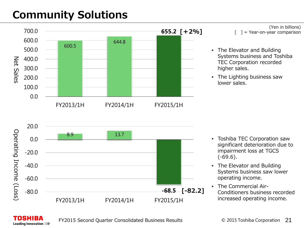# **Community Solutions**



(Yen in billions) = Year-on-year comparison

- The Elevator and Building Systems business and Toshiba TEC Corporation recorded higher sales.
- The Lighting business saw lower sales.



- Toshiba TEC Corporation saw significant deterioration due to impairment loss at TGCS  $(-69.6)$ .
- The Elevator and Building Systems business saw lower operating income.
- The Commercial Air-Conditioners business recorded increased operating income.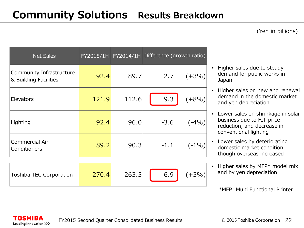#### (Yen in billions)

| <b>Net Sales</b>                                  |       |       | FY2015/1H FY2014/1H Difference (growth ratio) |
|---------------------------------------------------|-------|-------|-----------------------------------------------|
| Community Infrastructure<br>& Building Facilities | 92.4  | 89.7  | 2.7<br>$(+3%)$                                |
| Elevators                                         | 121.9 | 112.6 | 9.3<br>$(+8%)$                                |
| Lighting                                          | 92.4  | 96.0  | $-3.6$<br>$(-4%)$                             |
| Commercial Air-<br>Conditioners                   | 89.2  | 90.3  | $-1.1$<br>$(-1%)$                             |

| Toshiba TEC Corporation | 263.5 | 6.9 | $(+3%$ |
|-------------------------|-------|-----|--------|
|                         |       |     |        |

- Higher sales due to steady demand for public works in Japan
- Higher sales on new and renewal demand in the domestic market and yen depreciation
- Lower sales on shrinkage in solar business due to FIT price reduction, and decrease in conventional lighting
- Lower sales by deteriorating domestic market condition though overseas increased
- Higher sales by MFP\* model mix and by yen depreciation

\*MFP: Multi Functional Printer

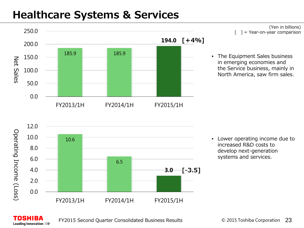### **Healthcare Systems & Services**



(Yen in billions) = Year-on-year comparison

• The Equipment Sales business in emerging economies and the Service business, mainly in North America, saw firm sales.



• Lower operating income due to increased R&D costs to develop next-generation systems and services.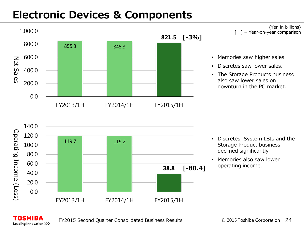#### **Electronic Devices & Components**



(Yen in billions) = Year-on-year comparison

- Memories saw higher sales.
- Discretes saw lower sales.
- The Storage Products business also saw lower sales on downturn in the PC market.



- Discretes, System LSIs and the Storage Product business declined significantly.
- Memories also saw lower operating income.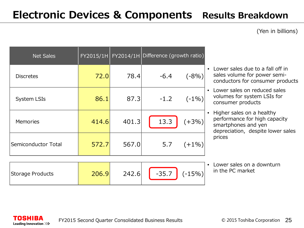#### **Electronic Devices & Components Results Breakdown**

(Yen in billions)

| <b>Net Sales</b>    |       |       | $FY2015/1H$ FY2014/1H Difference (growth ratio) |
|---------------------|-------|-------|-------------------------------------------------|
| <b>Discretes</b>    | 72.0  | 78.4  | $-6.4$<br>$(-8%)$                               |
| <b>System LSIs</b>  | 86.1  | 87.3  | $-1.2$<br>$(-1%)$                               |
| Memories            | 414.6 | 401.3 | 13.3<br>$(+3%)$                                 |
| Semiconductor Total | 572.7 | 567.0 | 5.7<br>$(+1%)$                                  |

- Lower sales due to a fall off in sales volume for power semiconductors for consumer products
- Lower sales on reduced sales volumes for system LSIs for consumer products
- Higher sales on a healthy performance for high capacity smartphones and yen depreciation, despite lower sales prices

• Lower sales on a downturn in the PC market

| Storage Products | 206.9 | 242.6 | $-35.7$ | $\mid$ (-15%) |
|------------------|-------|-------|---------|---------------|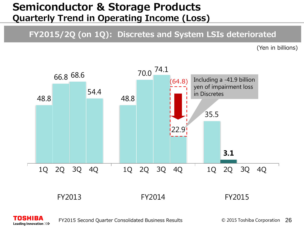#### **Semiconductor & Storage Products Quarterly Trend in Operating Income (Loss)**

#### **FY2015/2Q (on 1Q): Discretes and System LSIs deteriorated**

(Yen in billions)



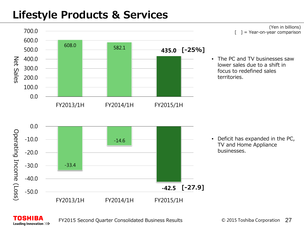### **Lifestyle Products & Services**

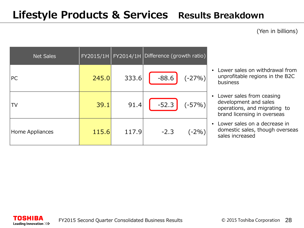#### (Yen in billions)

| <b>Net Sales</b> |       |       | $FY2015/1H$ $FY2014/1H$ Difference (growth ratio) |  |
|------------------|-------|-------|---------------------------------------------------|--|
| PC               | 245.0 | 333.6 | $-88.6$<br>$(-27%)$                               |  |
| TV               | 39.1  | 91.4  | $-52.3$<br>$(-57%)$                               |  |
| Home Appliances  | 115.6 | 117.9 | $-2.3$<br>$(-2%$                                  |  |

- Lower sales on withdrawal from unprofitable regions in the B2C business
- Lower sales from ceasing development and sales operations, and migrating to brand licensing in overseas
- Lower sales on a decrease in domestic sales, though overseas sales increased

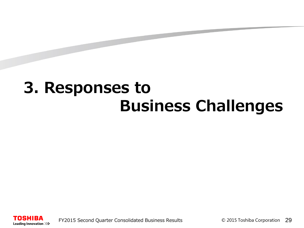# **3. Responses to Business Challenges**

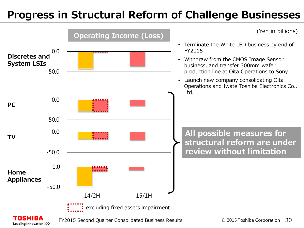### **Progress in Structural Reform of Challenge Businesses**

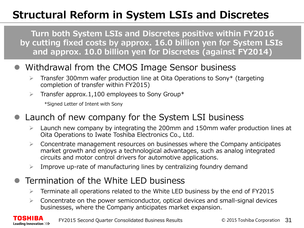# **Structural Reform in System LSIs and Discretes**

**Turn both System LSIs and Discretes positive within FY2016 by cutting fixed costs by approx. 16.0 billion yen for System LSIs and approx. 10.0 billion yen for Discretes (against FY2014)**

#### Withdrawal from the CMOS Image Sensor business

- $\triangleright$  Transfer 300mm wafer production line at Oita Operations to Sony\* (targeting completion of transfer within FY2015)
- $\triangleright$  Transfer approx.1,100 employees to Sony Group\*

\*Signed Letter of Intent with Sony

Leading Innovation >>>

#### Launch of new company for the System LSI business

- Launch new company by integrating the 200mm and 150mm wafer production lines at Oita Operations to Iwate Toshiba Electronics Co., Ltd.
- $\triangleright$  Concentrate management resources on businesses where the Company anticipates market growth and enjoys a technological advantages, such as analog integrated circuits and motor control drivers for automotive applications.
- $\triangleright$  Improve up-rate of manufacturing lines by centralizing foundry demand

#### Termination of the White LED business

- $\triangleright$  Terminate all operations related to the White LED business by the end of FY2015
- $\triangleright$  Concentrate on the power semiconductor, optical devices and small-signal devices businesses, where the Company anticipates market expansion.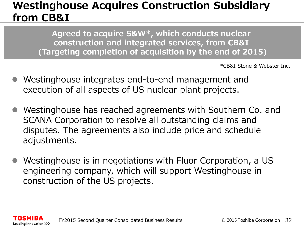#### **Westinghouse Acquires Construction Subsidiary from CB&I**

**Agreed to acquire S&W\*, which conducts nuclear construction and integrated services, from CB&I (Targeting completion of acquisition by the end of 2015)**

\*CB&I Stone & Webster Inc.

- Westinghouse integrates end-to-end management and execution of all aspects of US nuclear plant projects.
- Westinghouse has reached agreements with Southern Co. and SCANA Corporation to resolve all outstanding claims and disputes. The agreements also include price and schedule adjustments.
- Westinghouse is in negotiations with Fluor Corporation, a US engineering company, which will support Westinghouse in construction of the US projects.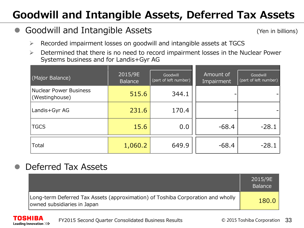# **Goodwill and Intangible Assets, Deferred Tax Assets**

#### Goodwill and Intangible Assets

(Yen in billions)

- $\triangleright$  Recorded impairment losses on goodwill and intangible assets at TGCS
- $\triangleright$  Determined that there is no need to record impairment losses in the Nuclear Power Systems business and for Landis+Gyr AG

| (Major Balance)                          | 2015/9E<br><b>Balance</b> | Goodwill<br>(part of left number) | Amount of<br>Impairment | Goodwill<br>(part of left number) |
|------------------------------------------|---------------------------|-----------------------------------|-------------------------|-----------------------------------|
| Nuclear Power Business<br>(Westinghouse) | 515.6                     | 344.1                             |                         |                                   |
| Landis+Gyr AG                            | 231.6                     | 170.4                             |                         |                                   |
| <b>TGCS</b>                              | 15.6                      | 0.0                               | $-68.4$                 | $-28.1$                           |
| Total                                    | 1,060.2                   | 649.9                             | $-68.4$                 | $-28.1$                           |

#### Deferred Tax Assets

Leading Innovation >>>

|                                                                                                                | 2015/9E<br><b>Balance</b> |
|----------------------------------------------------------------------------------------------------------------|---------------------------|
| Long-term Deferred Tax Assets (approximation) of Toshiba Corporation and wholly<br>owned subsidiaries in Japan | 180.0                     |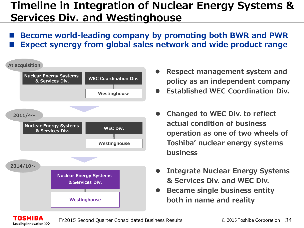#### **Timeline in Integration of Nuclear Energy Systems & Services Div. and Westinghouse**

 **Become world-leading company by promoting both BWR and PWR Expect synergy from global sales network and wide product range** 



OSHIBA Leading Innovation >>>

- **Respect management system and policy as an independent company**
- **Established WEC Coordination Div.**
- **Changed to WEC Div. to reflect actual condition of business operation as one of two wheels of Toshiba' nuclear energy systems business**
- **Integrate Nuclear Energy Systems & Services Div. and WEC Div.**
- **Became single business entity both in name and reality**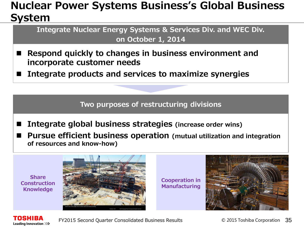#### **Nuclear Power Systems Business's Global Business System**

**Integrate Nuclear Energy Systems & Services Div. and WEC Div. on October 1, 2014**

- Respond quickly to changes in business environment and **incorporate customer needs**
- **Integrate products and services to maximize synergies**

**Two purposes of restructuring divisions**

- Integrate global business strategies (increase order wins)
- **Pursue efficient business operation (mutual utilization and integration of resources and know-how)**

**Share Construction Knowledge** 



**Cooperation in Manufacturing** 



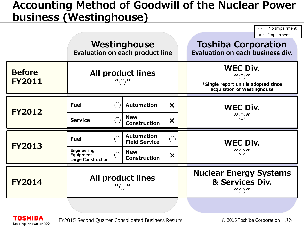#### **Accounting Method of Goodwill of the Nuclear Power business (Westinghouse)**

|                                |                                                                             | Westinghouse<br><b>Evaluation on each product line</b>                                                           |                                                                                                                            | No Impairment<br>Impairment<br>$\times$ :<br><b>Toshiba Corporation</b><br>Evaluation on each business div. |
|--------------------------------|-----------------------------------------------------------------------------|------------------------------------------------------------------------------------------------------------------|----------------------------------------------------------------------------------------------------------------------------|-------------------------------------------------------------------------------------------------------------|
| <b>Before</b><br><b>FY2011</b> | <b>All product lines</b>                                                    |                                                                                                                  | <b>WEC Div.</b><br>$\mathbf{u} \bigcirc \mathbf{u}$<br>*Single report unit is adopted since<br>acquisition of Westinghouse |                                                                                                             |
| <b>FY2012</b>                  | <b>Fuel</b><br><b>Service</b>                                               | <b>Automation</b><br>$\boldsymbol{\mathsf{X}}$<br><b>New</b><br>$\boldsymbol{\mathsf{x}}$<br><b>Construction</b> |                                                                                                                            | <b>WEC Div.</b>                                                                                             |
| <b>FY2013</b>                  | <b>Fuel</b><br><b>Engineering</b><br>Equipment<br><b>Large Construction</b> | <b>Automation</b><br><b>Field Service</b><br><b>New</b><br>$\bm{\times}$<br><b>Construction</b>                  |                                                                                                                            | <b>WEC Div.</b><br>$\mathbf{u} \bigcirc \mathbf{u}$                                                         |
| <b>FY2014</b>                  | <b>All product lines</b>                                                    |                                                                                                                  |                                                                                                                            | <b>Nuclear Energy Systems</b><br>& Services Div.                                                            |

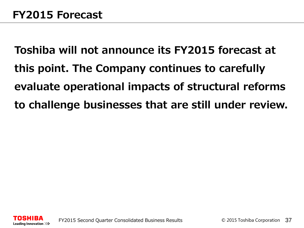**Toshiba will not announce its FY2015 forecast at this point. The Company continues to carefully evaluate operational impacts of structural reforms to challenge businesses that are still under review.**

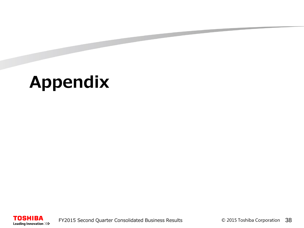# **Appendix**

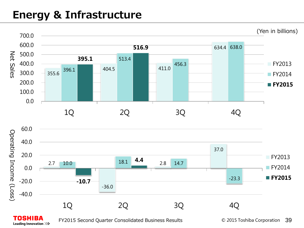### **Energy & Infrastructure**



TOSHIBA Leading Innovation >>>

FY2015 Second Quarter Consolidated Business Results

© 2015 Toshiba Corporation 39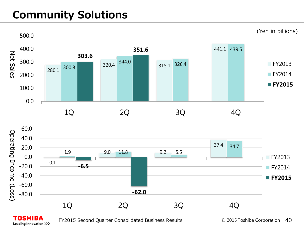# **Community Solutions**



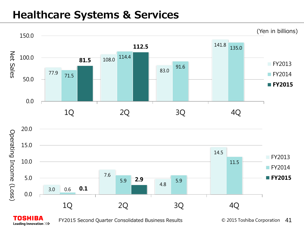#### **Healthcare Systems & Services**



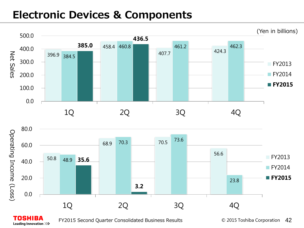#### **Electronic Devices & Components**





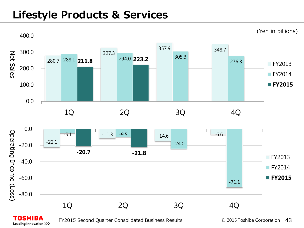#### **Lifestyle Products & Services**

Leading Innovation >>>

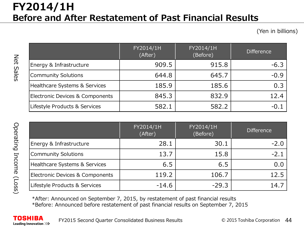#### **FY2014/1H Before and After Restatement of Past Financial Results**

(Yen in billions)

|                                 | FY2014/1H<br>(After) | FY2014/1H<br>(Before) | <b>Difference</b> |
|---------------------------------|----------------------|-----------------------|-------------------|
| Energy & Infrastructure         | 909.5                | 915.8                 | $-6.3$            |
| Community Solutions             | 644.8                | 645.7                 | $-0.9$            |
| Healthcare Systems & Services   | 185.9                | 185.6                 | 0.3               |
| Electronic Devices & Components | 845.3                | 832.9                 | 12.4              |
| Lifestyle Products & Services   | 582.1                | 582.2                 | -0.               |

|                                 | FY2014/1H<br>(After) | FY2014/1H<br>(Before) | <b>Difference</b> |
|---------------------------------|----------------------|-----------------------|-------------------|
| Energy & Infrastructure         | 28.1                 | 30.1                  | $-2.0$            |
| Community Solutions             | 13.7                 | 15.8                  | $-2.1$            |
| Healthcare Systems & Services   | 6.5                  | 6.5                   | 0.0               |
| Electronic Devices & Components | 119.2                | 106.7                 | 12.5              |
| Lifestyle Products & Services   | $-14.6$              | $-29.3$               | 14.               |

\*After: Announced on September 7, 2015, by restatement of past financial results \*Before: Announced before restatement of past financial results on September 7, 2015

Net Sales

Net Sales

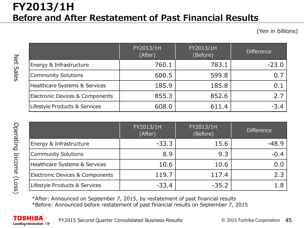#### **FY2013/1H Before and After Restatement of Past Financial Results**

(Yen in billions)

|                                            | FY2013/1H<br>(After) | FY2013/1H<br>(Before) | <b>Difference</b> |
|--------------------------------------------|----------------------|-----------------------|-------------------|
| Energy & Infrastructure                    | 760.1                | 783.1                 | $-23.0$           |
| <b>Community Solutions</b>                 | 600.5                | 599.8                 | 0.7               |
| Healthcare Systems & Services              | 185.9                | 185.8                 | 0.1               |
| <b>Electronic Devices &amp; Components</b> | 855.3                | 852.6                 | 2.7               |
| Lifestyle Products & Services              | 608.0                | 611.4                 | $-3.4$            |

|                                 | FY2013/1H<br>(After) | FY2013/1H<br>(Before) | <b>Difference</b> |
|---------------------------------|----------------------|-----------------------|-------------------|
| Energy & Infrastructure         | $-33.3$              | 15.6                  | $-48.9$           |
| Community Solutions             | 8.9                  | 9.3                   | $-0.4$            |
| Healthcare Systems & Services   | 10.6                 | 10.6                  | 0.0               |
| Electronic Devices & Components | 119.7                | 117.4                 | 2.3               |
| Lifestyle Products & Services   | $-33.4$              | $-35.2$               |                   |

\*After: Announced on September 7, 2015, by restatement of past financial results \*Before: Announced before restatement of past financial results on September 7, 2015

Net Sales

Net Sales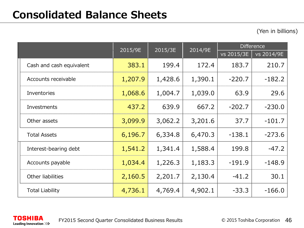(Yen in billions)

|                          | 2015/9E | 2015/3E | 2014/9E | <b>Difference</b> |            |
|--------------------------|---------|---------|---------|-------------------|------------|
|                          |         |         |         | vs 2015/3E        | vs 2014/9E |
| Cash and cash equivalent | 383.1   | 199.4   | 172.4   | 183.7             | 210.7      |
| Accounts receivable      | 1,207.9 | 1,428.6 | 1,390.1 | $-220.7$          | $-182.2$   |
| Inventories              | 1,068.6 | 1,004.7 | 1,039.0 | 63.9              | 29.6       |
| Investments              | 437.2   | 639.9   | 667.2   | $-202.7$          | $-230.0$   |
| Other assets             | 3,099.9 | 3,062.2 | 3,201.6 | 37.7              | $-101.7$   |
| <b>Total Assets</b>      | 6,196.7 | 6,334.8 | 6,470.3 | $-138.1$          | $-273.6$   |
| Interest-bearing debt    | 1,541.2 | 1,341.4 | 1,588.4 | 199.8             | $-47.2$    |
| Accounts payable         | 1,034.4 | 1,226.3 | 1,183.3 | $-191.9$          | $-148.9$   |
| Other liabilities        | 2,160.5 | 2,201.7 | 2,130.4 | $-41.2$           | 30.1       |
| <b>Total Liability</b>   | 4,736.1 | 4,769.4 | 4,902.1 | $-33.3$           | $-166.0$   |